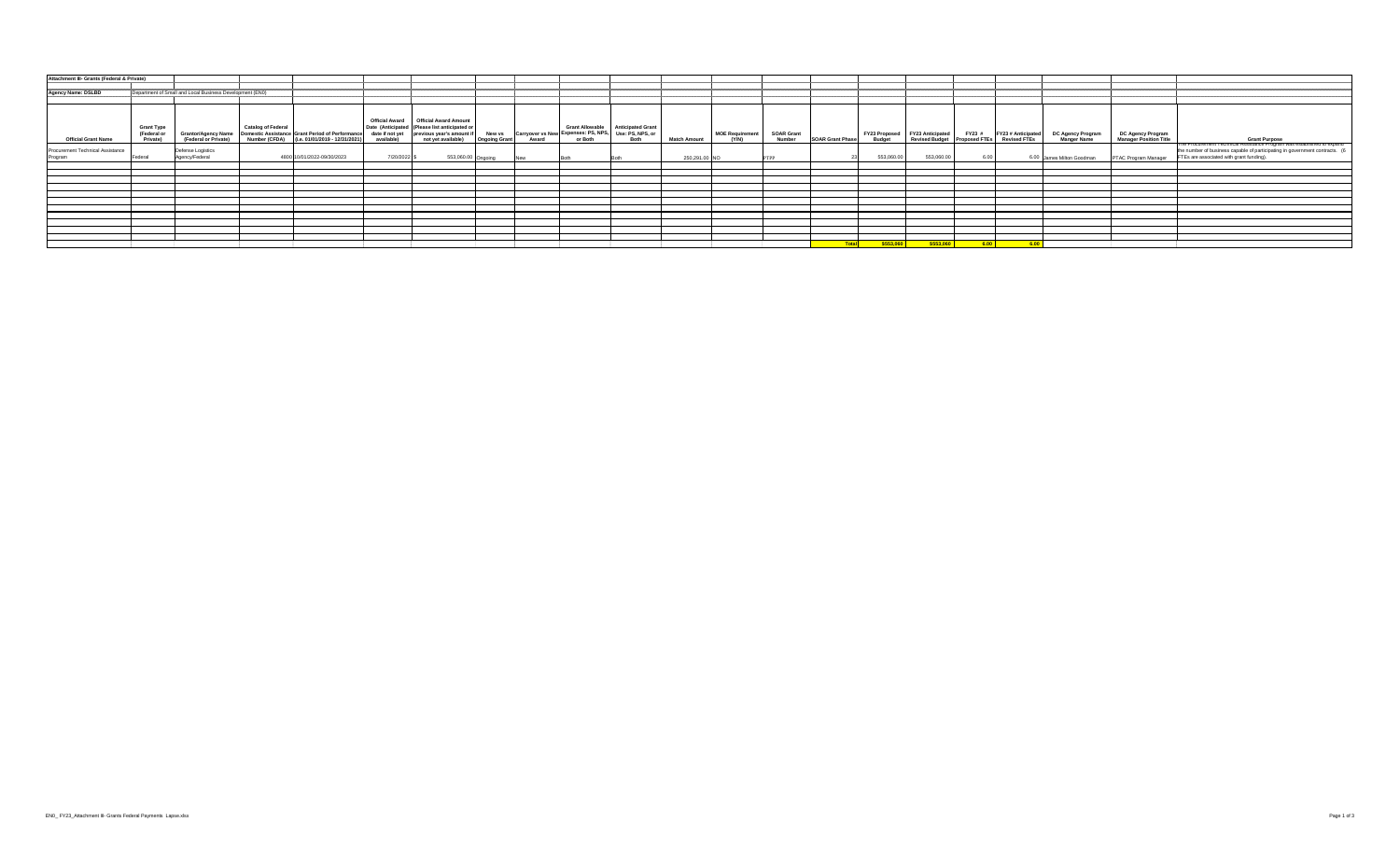| Attachment III- Grants (Federal & Private)  |                                                          |                                     |                                                                                                                                                        |                               |                                                                                                                                              |                                       |             |                                                |                                                                        |                     |                          |                                    |                         |                                       |                                                           |        |                                                  |                                                |                                                           |                                                                                                                                |
|---------------------------------------------|----------------------------------------------------------|-------------------------------------|--------------------------------------------------------------------------------------------------------------------------------------------------------|-------------------------------|----------------------------------------------------------------------------------------------------------------------------------------------|---------------------------------------|-------------|------------------------------------------------|------------------------------------------------------------------------|---------------------|--------------------------|------------------------------------|-------------------------|---------------------------------------|-----------------------------------------------------------|--------|--------------------------------------------------|------------------------------------------------|-----------------------------------------------------------|--------------------------------------------------------------------------------------------------------------------------------|
| Agency Name: DSLBD                          | Department of Small and Local Business Development (EN0) |                                     |                                                                                                                                                        |                               |                                                                                                                                              |                                       |             |                                                |                                                                        |                     |                          |                                    |                         |                                       |                                                           |        |                                                  |                                                |                                                           |                                                                                                                                |
| <b>Official Grant Name</b>                  | <b>Grant Type</b><br>(Federal or<br>Private)             | (Federal or Private)                | <b>Catalog of Federal</b><br>Grantor/Agency Name   Domestic Assistance   Grant Period of Performance  <br>Number (CFDA) (i.e. 01/01/2019 - 12/31/2021) | date if not yet<br>available) | Official Award   Official Award Amount<br>Date (Anticipated   (Please list anticipated or<br>previous year's amount if<br>not yet available) | <b>New vs</b><br><b>Ongoing Grant</b> | Award       | Carryover vs New Expenses: PS, NPS,<br>or Both | Grant Allowable   Anticipated Grant<br>Use: PS, NPS, or<br><b>Both</b> | <b>Match Amount</b> | MOE Requirement<br>(Y/N) | <b>SOAR Grant</b><br><b>Number</b> | <b>SOAR Grant Phase</b> | <b>FY23 Proposed</b><br><b>Budget</b> | <b>FY23 Anticipated</b><br>Revised Budget   Proposed FTEs | FY23 # | <b>FY23 # Anticipated</b><br><b>Revised FTEs</b> | <b>DC Agency Program</b><br><b>Manger Name</b> | <b>DC Agency Program</b><br><b>Manager Position Title</b> | <b>Grant Purpose</b><br>The Procurement Technical Assistance Program was established to expand                                 |
| Procurement Technical Assistance<br>Program | Federal                                                  | Defense Logistics<br>Agency/Federal | 4800 10/01/2022-09/30/2023                                                                                                                             | 7/20/2022                     | 553,060.00 Ongoing                                                                                                                           |                                       | <b>INew</b> |                                                |                                                                        | 250,291.00 NO       |                          | <b>PTPP</b>                        |                         | 553,060.00                            | 553,060.00                                                | 6.00   | 6.00 James Milton Goodman                        |                                                | <b>PTAC Program Manager</b>                               | the number of business capable of participating in government contracts. (6<br><b>FTEs are associated with grant funding).</b> |
|                                             |                                                          |                                     |                                                                                                                                                        |                               |                                                                                                                                              |                                       |             |                                                |                                                                        |                     |                          |                                    |                         |                                       |                                                           |        |                                                  |                                                |                                                           |                                                                                                                                |
|                                             |                                                          |                                     |                                                                                                                                                        |                               |                                                                                                                                              |                                       |             |                                                |                                                                        |                     |                          |                                    |                         |                                       |                                                           |        |                                                  |                                                |                                                           |                                                                                                                                |
|                                             |                                                          |                                     |                                                                                                                                                        |                               |                                                                                                                                              |                                       |             |                                                |                                                                        |                     |                          |                                    |                         |                                       |                                                           |        |                                                  |                                                |                                                           |                                                                                                                                |
|                                             |                                                          |                                     |                                                                                                                                                        |                               |                                                                                                                                              |                                       |             |                                                |                                                                        |                     |                          |                                    |                         |                                       |                                                           |        |                                                  |                                                |                                                           |                                                                                                                                |
|                                             |                                                          |                                     |                                                                                                                                                        |                               |                                                                                                                                              |                                       |             |                                                |                                                                        |                     |                          |                                    |                         |                                       |                                                           |        |                                                  |                                                |                                                           |                                                                                                                                |
|                                             |                                                          |                                     |                                                                                                                                                        |                               |                                                                                                                                              |                                       |             |                                                |                                                                        |                     |                          |                                    |                         |                                       |                                                           |        |                                                  |                                                |                                                           |                                                                                                                                |
|                                             |                                                          |                                     |                                                                                                                                                        |                               |                                                                                                                                              |                                       |             |                                                |                                                                        |                     |                          |                                    |                         |                                       |                                                           |        |                                                  |                                                |                                                           |                                                                                                                                |
|                                             |                                                          |                                     |                                                                                                                                                        |                               |                                                                                                                                              |                                       |             |                                                |                                                                        |                     |                          |                                    |                         |                                       |                                                           |        |                                                  |                                                |                                                           |                                                                                                                                |
|                                             |                                                          |                                     |                                                                                                                                                        |                               |                                                                                                                                              |                                       |             |                                                |                                                                        |                     |                          |                                    | <b>Total</b>            | \$553,060                             | \$553,060                                                 | 6.00   |                                                  |                                                |                                                           |                                                                                                                                |

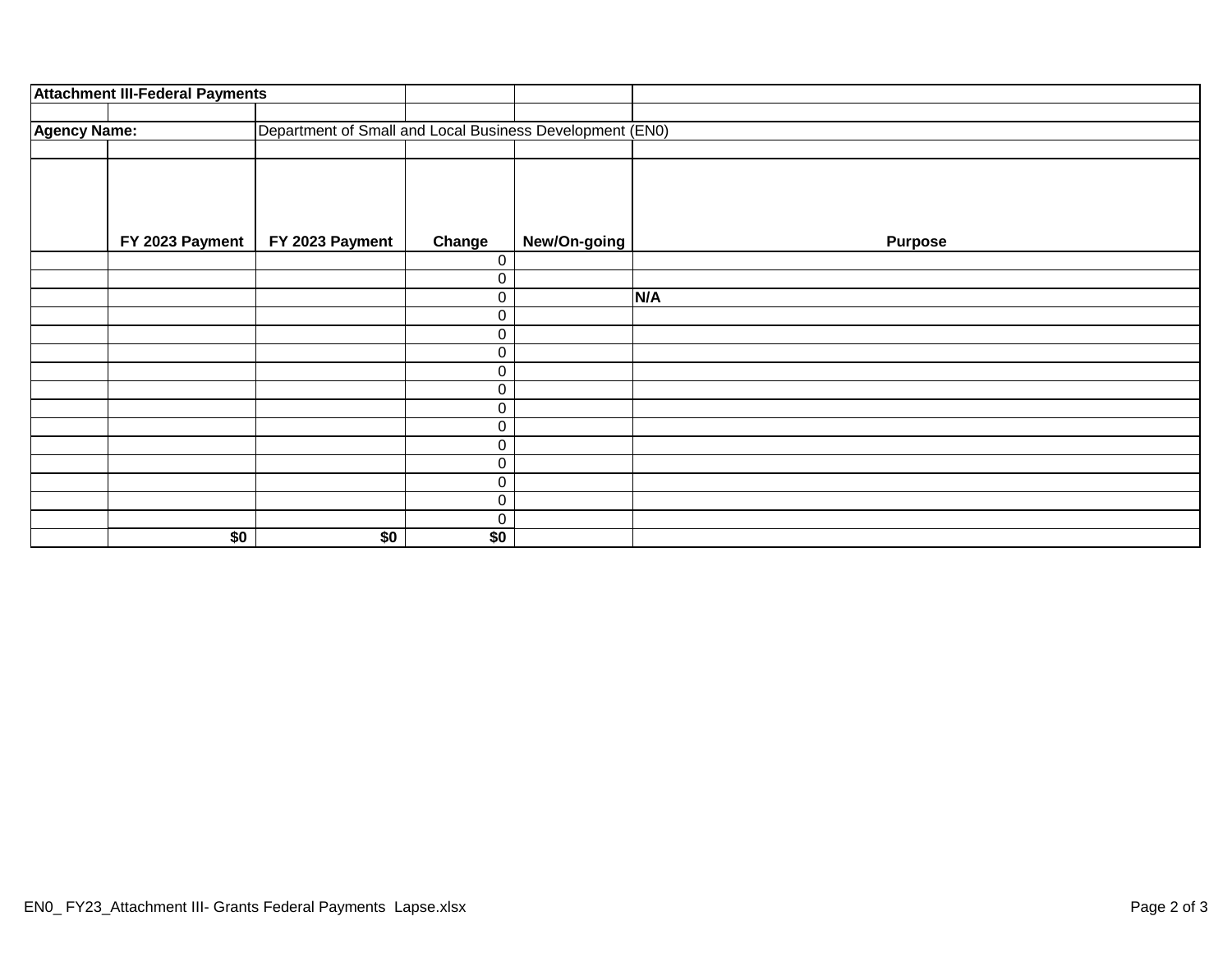|                     | <b>Attachment III-Federal Payments</b> |                                                          |             |              |                |
|---------------------|----------------------------------------|----------------------------------------------------------|-------------|--------------|----------------|
|                     |                                        |                                                          |             |              |                |
| <b>Agency Name:</b> |                                        | Department of Small and Local Business Development (EN0) |             |              |                |
|                     |                                        |                                                          |             |              |                |
|                     |                                        |                                                          |             |              |                |
|                     |                                        |                                                          |             |              |                |
|                     |                                        |                                                          |             |              |                |
|                     | FY 2023 Payment                        | FY 2023 Payment                                          | Change      | New/On-going | <b>Purpose</b> |
|                     |                                        |                                                          | $\mathbf 0$ |              |                |
|                     |                                        |                                                          | 0           |              |                |
|                     |                                        |                                                          | $\pmb{0}$   |              | N/A            |
|                     |                                        |                                                          | $\pmb{0}$   |              |                |
|                     |                                        |                                                          | $\pmb{0}$   |              |                |
|                     |                                        |                                                          | $\pmb{0}$   |              |                |
|                     |                                        |                                                          | $\pmb{0}$   |              |                |
|                     |                                        |                                                          | $\pmb{0}$   |              |                |
|                     |                                        |                                                          | $\pmb{0}$   |              |                |
|                     |                                        |                                                          | $\pmb{0}$   |              |                |
|                     |                                        |                                                          | $\pmb{0}$   |              |                |
|                     |                                        |                                                          | $\pmb{0}$   |              |                |
|                     |                                        |                                                          | $\pmb{0}$   |              |                |
|                     |                                        |                                                          | $\pmb{0}$   |              |                |
|                     |                                        |                                                          | $\mathsf 0$ |              |                |
|                     | \$0                                    | \$0                                                      | \$0         |              |                |